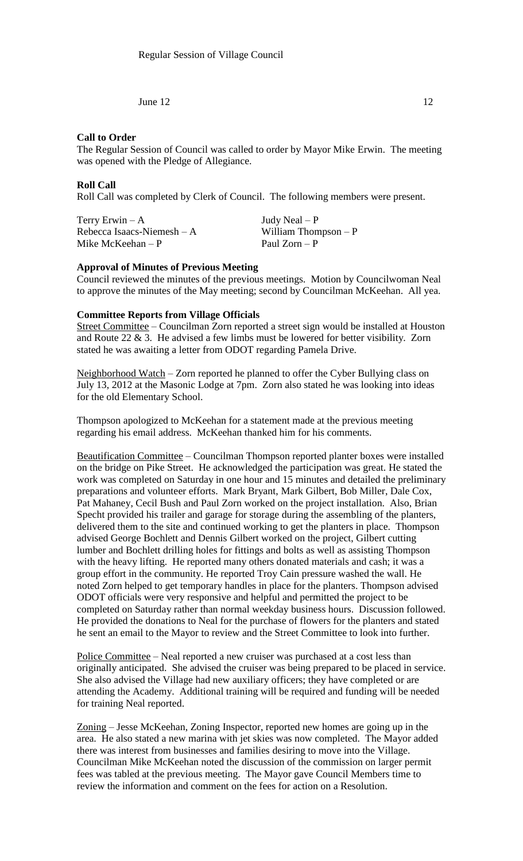## **Call to Order**

The Regular Session of Council was called to order by Mayor Mike Erwin. The meeting was opened with the Pledge of Allegiance.

#### **Roll Call**

Roll Call was completed by Clerk of Council. The following members were present.

| Terry Erwin $-A$            | Judy Neal $- P$       |
|-----------------------------|-----------------------|
| Rebecca Isaacs-Niemesh $-A$ | William Thompson $-P$ |
| Mike McKeehan $-P$          | Paul Zorn $-P$        |

# **Approval of Minutes of Previous Meeting**

Council reviewed the minutes of the previous meetings. Motion by Councilwoman Neal to approve the minutes of the May meeting; second by Councilman McKeehan. All yea.

### **Committee Reports from Village Officials**

Street Committee – Councilman Zorn reported a street sign would be installed at Houston and Route 22 & 3. He advised a few limbs must be lowered for better visibility. Zorn stated he was awaiting a letter from ODOT regarding Pamela Drive.

Neighborhood Watch – Zorn reported he planned to offer the Cyber Bullying class on July 13, 2012 at the Masonic Lodge at 7pm. Zorn also stated he was looking into ideas for the old Elementary School.

Thompson apologized to McKeehan for a statement made at the previous meeting regarding his email address. McKeehan thanked him for his comments.

Beautification Committee – Councilman Thompson reported planter boxes were installed on the bridge on Pike Street. He acknowledged the participation was great. He stated the work was completed on Saturday in one hour and 15 minutes and detailed the preliminary preparations and volunteer efforts. Mark Bryant, Mark Gilbert, Bob Miller, Dale Cox, Pat Mahaney, Cecil Bush and Paul Zorn worked on the project installation. Also, Brian Specht provided his trailer and garage for storage during the assembling of the planters, delivered them to the site and continued working to get the planters in place. Thompson advised George Bochlett and Dennis Gilbert worked on the project, Gilbert cutting lumber and Bochlett drilling holes for fittings and bolts as well as assisting Thompson with the heavy lifting. He reported many others donated materials and cash; it was a group effort in the community. He reported Troy Cain pressure washed the wall. He noted Zorn helped to get temporary handles in place for the planters. Thompson advised ODOT officials were very responsive and helpful and permitted the project to be completed on Saturday rather than normal weekday business hours. Discussion followed. He provided the donations to Neal for the purchase of flowers for the planters and stated he sent an email to the Mayor to review and the Street Committee to look into further.

Police Committee – Neal reported a new cruiser was purchased at a cost less than originally anticipated. She advised the cruiser was being prepared to be placed in service. She also advised the Village had new auxiliary officers; they have completed or are attending the Academy. Additional training will be required and funding will be needed for training Neal reported.

Zoning – Jesse McKeehan, Zoning Inspector, reported new homes are going up in the area. He also stated a new marina with jet skies was now completed. The Mayor added there was interest from businesses and families desiring to move into the Village. Councilman Mike McKeehan noted the discussion of the commission on larger permit fees was tabled at the previous meeting. The Mayor gave Council Members time to review the information and comment on the fees for action on a Resolution.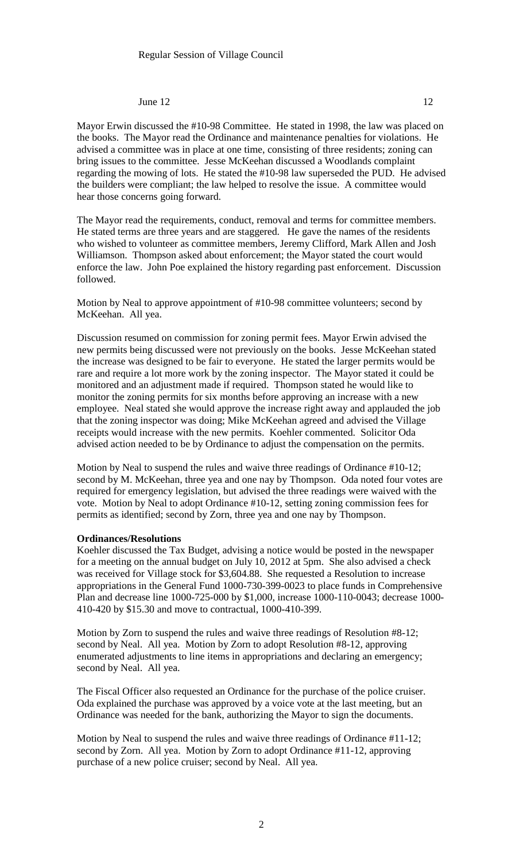Mayor Erwin discussed the #10-98 Committee. He stated in 1998, the law was placed on the books. The Mayor read the Ordinance and maintenance penalties for violations. He advised a committee was in place at one time, consisting of three residents; zoning can bring issues to the committee. Jesse McKeehan discussed a Woodlands complaint regarding the mowing of lots. He stated the #10-98 law superseded the PUD. He advised the builders were compliant; the law helped to resolve the issue. A committee would hear those concerns going forward.

The Mayor read the requirements, conduct, removal and terms for committee members. He stated terms are three years and are staggered. He gave the names of the residents who wished to volunteer as committee members, Jeremy Clifford, Mark Allen and Josh Williamson. Thompson asked about enforcement; the Mayor stated the court would enforce the law. John Poe explained the history regarding past enforcement. Discussion followed.

Motion by Neal to approve appointment of #10-98 committee volunteers; second by McKeehan. All yea.

Discussion resumed on commission for zoning permit fees. Mayor Erwin advised the new permits being discussed were not previously on the books. Jesse McKeehan stated the increase was designed to be fair to everyone. He stated the larger permits would be rare and require a lot more work by the zoning inspector. The Mayor stated it could be monitored and an adjustment made if required. Thompson stated he would like to monitor the zoning permits for six months before approving an increase with a new employee. Neal stated she would approve the increase right away and applauded the job that the zoning inspector was doing; Mike McKeehan agreed and advised the Village receipts would increase with the new permits. Koehler commented. Solicitor Oda advised action needed to be by Ordinance to adjust the compensation on the permits.

Motion by Neal to suspend the rules and waive three readings of Ordinance #10-12; second by M. McKeehan, three yea and one nay by Thompson. Oda noted four votes are required for emergency legislation, but advised the three readings were waived with the vote. Motion by Neal to adopt Ordinance #10-12, setting zoning commission fees for permits as identified; second by Zorn, three yea and one nay by Thompson.

#### **Ordinances/Resolutions**

Koehler discussed the Tax Budget, advising a notice would be posted in the newspaper for a meeting on the annual budget on July 10, 2012 at 5pm. She also advised a check was received for Village stock for \$3,604.88. She requested a Resolution to increase appropriations in the General Fund 1000-730-399-0023 to place funds in Comprehensive Plan and decrease line 1000-725-000 by \$1,000, increase 1000-110-0043; decrease 1000- 410-420 by \$15.30 and move to contractual, 1000-410-399.

Motion by Zorn to suspend the rules and waive three readings of Resolution #8-12; second by Neal. All yea. Motion by Zorn to adopt Resolution #8-12, approving enumerated adjustments to line items in appropriations and declaring an emergency; second by Neal. All yea.

The Fiscal Officer also requested an Ordinance for the purchase of the police cruiser. Oda explained the purchase was approved by a voice vote at the last meeting, but an Ordinance was needed for the bank, authorizing the Mayor to sign the documents.

Motion by Neal to suspend the rules and waive three readings of Ordinance #11-12; second by Zorn. All yea. Motion by Zorn to adopt Ordinance #11-12, approving purchase of a new police cruiser; second by Neal. All yea.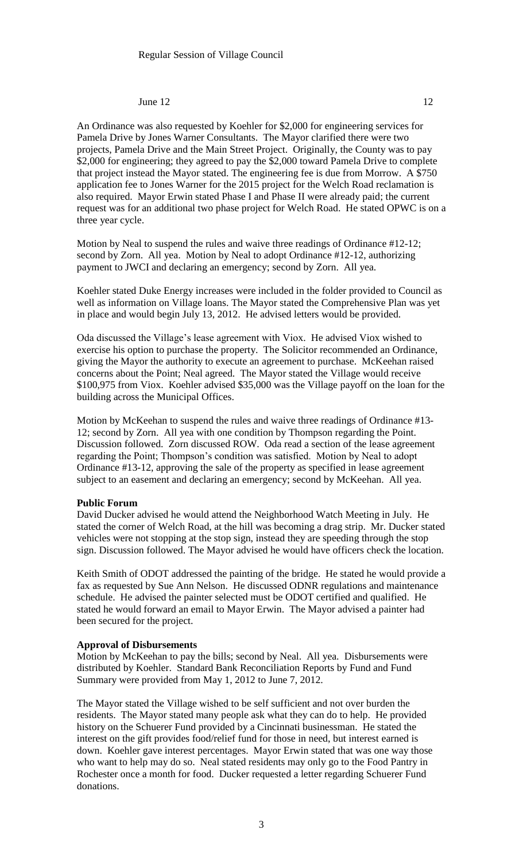An Ordinance was also requested by Koehler for \$2,000 for engineering services for Pamela Drive by Jones Warner Consultants. The Mayor clarified there were two projects, Pamela Drive and the Main Street Project. Originally, the County was to pay \$2,000 for engineering; they agreed to pay the \$2,000 toward Pamela Drive to complete that project instead the Mayor stated. The engineering fee is due from Morrow. A \$750 application fee to Jones Warner for the 2015 project for the Welch Road reclamation is also required. Mayor Erwin stated Phase I and Phase II were already paid; the current request was for an additional two phase project for Welch Road. He stated OPWC is on a three year cycle.

Motion by Neal to suspend the rules and waive three readings of Ordinance #12-12; second by Zorn. All yea. Motion by Neal to adopt Ordinance #12-12, authorizing payment to JWCI and declaring an emergency; second by Zorn. All yea.

Koehler stated Duke Energy increases were included in the folder provided to Council as well as information on Village loans. The Mayor stated the Comprehensive Plan was yet in place and would begin July 13, 2012. He advised letters would be provided.

Oda discussed the Village's lease agreement with Viox. He advised Viox wished to exercise his option to purchase the property. The Solicitor recommended an Ordinance, giving the Mayor the authority to execute an agreement to purchase. McKeehan raised concerns about the Point; Neal agreed. The Mayor stated the Village would receive \$100,975 from Viox. Koehler advised \$35,000 was the Village payoff on the loan for the building across the Municipal Offices.

Motion by McKeehan to suspend the rules and waive three readings of Ordinance #13- 12; second by Zorn. All yea with one condition by Thompson regarding the Point. Discussion followed. Zorn discussed ROW. Oda read a section of the lease agreement regarding the Point; Thompson's condition was satisfied. Motion by Neal to adopt Ordinance #13-12, approving the sale of the property as specified in lease agreement subject to an easement and declaring an emergency; second by McKeehan. All yea.

## **Public Forum**

David Ducker advised he would attend the Neighborhood Watch Meeting in July. He stated the corner of Welch Road, at the hill was becoming a drag strip. Mr. Ducker stated vehicles were not stopping at the stop sign, instead they are speeding through the stop sign. Discussion followed. The Mayor advised he would have officers check the location.

Keith Smith of ODOT addressed the painting of the bridge. He stated he would provide a fax as requested by Sue Ann Nelson. He discussed ODNR regulations and maintenance schedule. He advised the painter selected must be ODOT certified and qualified. He stated he would forward an email to Mayor Erwin. The Mayor advised a painter had been secured for the project.

#### **Approval of Disbursements**

Motion by McKeehan to pay the bills; second by Neal. All yea. Disbursements were distributed by Koehler. Standard Bank Reconciliation Reports by Fund and Fund Summary were provided from May 1, 2012 to June 7, 2012.

The Mayor stated the Village wished to be self sufficient and not over burden the residents. The Mayor stated many people ask what they can do to help. He provided history on the Schuerer Fund provided by a Cincinnati businessman. He stated the interest on the gift provides food/relief fund for those in need, but interest earned is down. Koehler gave interest percentages. Mayor Erwin stated that was one way those who want to help may do so. Neal stated residents may only go to the Food Pantry in Rochester once a month for food. Ducker requested a letter regarding Schuerer Fund donations.